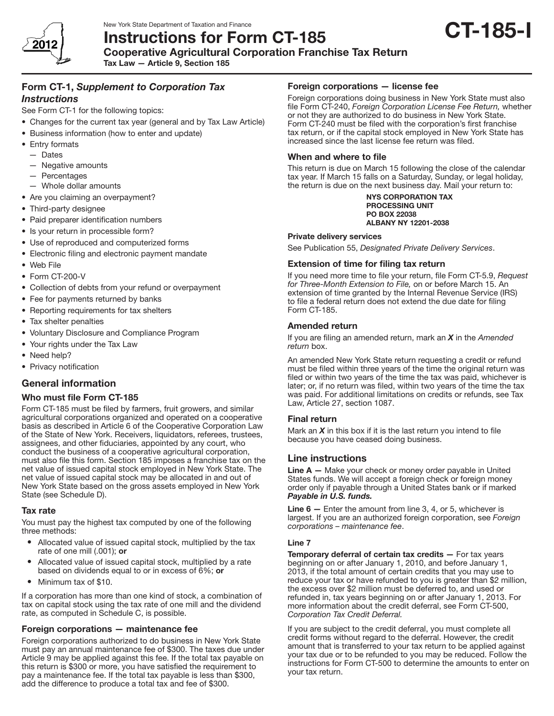

Cooperative Agricultural Corporation Franchise Tax Return

Tax Law — Article 9, Section 185

# Form CT-1, *Supplement to Corporation Tax Instructions*

See Form CT-1 for the following topics:

- Changes for the current tax year (general and by Tax Law Article)
- Business information (how to enter and update)
- Entry formats
- — Dates
- $-$  Negative amounts
- — Percentages
- $-$  Whole dollar amounts
- Are you claiming an overpayment?
- Third-party designee
- Paid preparer identification numbers
- Is your return in processible form?
- Use of reproduced and computerized forms
- • Electronic filing and electronic payment mandate
- • Web File
- Form CT-200-V
- Collection of debts from your refund or overpayment
- Fee for payments returned by banks
- Reporting requirements for tax shelters
- Tax shelter penalties
- • Voluntary Disclosure and Compliance Program
- Your rights under the Tax Law
- Need help?
- Privacy notification

# General information

## Who must file Form CT-185

Form CT-185 must be filed by farmers, fruit growers, and similar agricultural corporations organized and operated on a cooperative basis as described in Article 6 of the Cooperative Corporation Law of the State of New York. Receivers, liquidators, referees, trustees, assignees, and other fiduciaries, appointed by any court, who conduct the business of a cooperative agricultural corporation, must also file this form. Section 185 imposes a franchise tax on the net value of issued capital stock employed in New York State. The net value of issued capital stock may be allocated in and out of New York State based on the gross assets employed in New York State (see Schedule D).

#### Tax rate

You must pay the highest tax computed by one of the following three methods:

- Allocated value of issued capital stock, multiplied by the tax rate of one mill (.001); or
- Allocated value of issued capital stock, multiplied by a rate based on dividends equal to or in excess of 6%; or
- Minimum tax of \$10.

If a corporation has more than one kind of stock, a combination of tax on capital stock using the tax rate of one mill and the dividend rate, as computed in Schedule C, is possible.

## Foreign corporations — maintenance fee

Foreign corporations authorized to do business in New York State must pay an annual maintenance fee of \$300. The taxes due under Article 9 may be applied against this fee. If the total tax payable on this return is \$300 or more, you have satisfied the requirement to pay a maintenance fee. If the total tax payable is less than \$300, add the difference to produce a total tax and fee of \$300.

#### Foreign corporations — license fee

Foreign corporations doing business in New York State must also file Form CT-240, *Foreign Corporation License Fee Return,* whether or not they are authorized to do business in New York State. Form CT-240 must be filed with the corporation's first franchise tax return, or if the capital stock employed in New York State has increased since the last license fee return was filed.

## When and where to file

This return is due on March 15 following the close of the calendar tax year. If March 15 falls on a Saturday, Sunday, or legal holiday, the return is due on the next business day. Mail your return to:

#### NYS CORPORATION TAX PROCESSING UNIT PO BOX 22038 ALBANY NY 12201-2038

#### Private delivery services

See Publication 55, *Designated Private Delivery Services*.

#### Extension of time for filing tax return

If you need more time to file your return, file Form CT-5.9, *Request for Three-Month Extension to File,* on or before March 15. An extension of time granted by the Internal Revenue Service (IRS) to file a federal return does not extend the due date for filing Form CT-185.

## Amended return

If you are filing an amended return, mark an *X* in the *Amended return* box.

An amended New York State return requesting a credit or refund must be filed within three years of the time the original return was filed or within two years of the time the tax was paid, whichever is later; or, if no return was filed, within two years of the time the tax was paid. For additional limitations on credits or refunds, see Tax Law, Article 27, section 1087.

## Final return

Mark an *X* in this box if it is the last return you intend to file because you have ceased doing business.

# Line instructions

**Line**  $A - M$  Make your check or money order payable in United States funds. We will accept a foreign check or foreign money order only if payable through a United States bank or if marked *Payable in U.S. funds.*

Line 6 - Enter the amount from line 3, 4, or 5, whichever is largest. If you are an authorized foreign corporation, see *Foreign corporations – maintenance fee*.

#### Line 7

Temporary deferral of certain tax credits - For tax years beginning on or after January 1, 2010, and before January 1, 2013, if the total amount of certain credits that you may use to reduce your tax or have refunded to you is greater than \$2 million, the excess over \$2 million must be deferred to, and used or refunded in, tax years beginning on or after January 1, 2013. For more information about the credit deferral, see Form CT-500, *Corporation Tax Credit Deferral.*

If you are subject to the credit deferral, you must complete all credit forms without regard to the deferral. However, the credit amount that is transferred to your tax return to be applied against your tax due or to be refunded to you may be reduced. Follow the instructions for Form CT-500 to determine the amounts to enter on your tax return.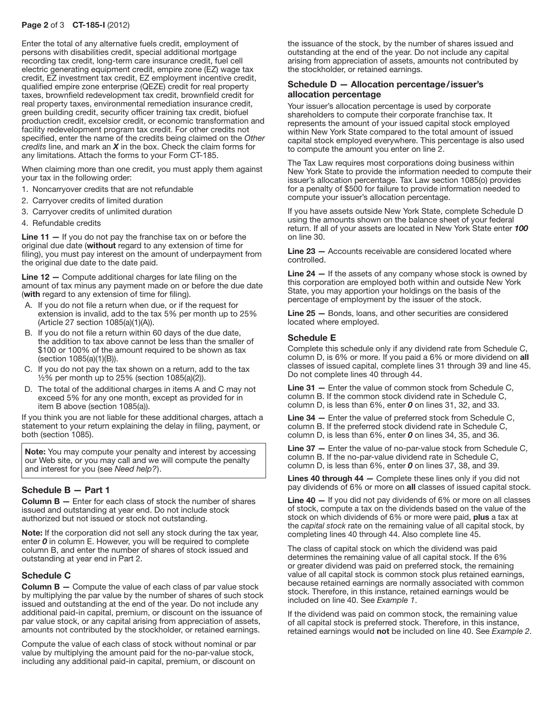#### Page 2 of 3 CT-185-I (2012)

Enter the total of any alternative fuels credit, employment of persons with disabilities credit, special additional mortgage recording tax credit, long-term care insurance credit, fuel cell electric generating equipment credit, empire zone (EZ) wage tax credit, EZ investment tax credit, EZ employment incentive credit, qualified empire zone enterprise (QEZE) credit for real property taxes, brownfield redevelopment tax credit, brownfield credit for real property taxes, environmental remediation insurance credit, green building credit, security officer training tax credit, biofuel production credit, excelsior credit, or economic transformation and facility redevelopment program tax credit. For other credits not specified, enter the name of the credits being claimed on the *Other credits* line, and mark an *X* in the box. Check the claim forms for any limitations. Attach the forms to your Form CT-185.

When claiming more than one credit, you must apply them against your tax in the following order:

- 1. Noncarryover credits that are not refundable
- 2. Carryover credits of limited duration
- 3. Carryover credits of unlimited duration
- 4. Refundable credits

Line 11 – If you do not pay the franchise tax on or before the original due date (without regard to any extension of time for filing), you must pay interest on the amount of underpayment from the original due date to the date paid.

**Line 12**  $-$  Compute additional charges for late filing on the amount of tax minus any payment made on or before the due date (with regard to any extension of time for filing).

- A. If you do not file a return when due, or if the request for extension is invalid, add to the tax 5% per month up to 25% (Article 27 section 1085(a)(1)(A)).
- B. If you do not file a return within 60 days of the due date, the addition to tax above cannot be less than the smaller of \$100 or 100% of the amount required to be shown as tax (section 1085(a)(1)(B)).
- C. If you do not pay the tax shown on a return, add to the tax ½% per month up to 25% (section 1085(a)(2)).
- D. The total of the additional charges in items A and C may not exceed 5% for any one month, except as provided for in item B above (section 1085(a)).

If you think you are not liable for these additional charges, attach a statement to your return explaining the delay in filing, payment, or both (section 1085).

Note: You may compute your penalty and interest by accessing our Web site, or you may call and we will compute the penalty and interest for you (see *Need help?*).

## Schedule B — Part 1

Column B — Enter for each class of stock the number of shares issued and outstanding at year end. Do not include stock authorized but not issued or stock not outstanding.

Note: If the corporation did not sell any stock during the tax year, enter *0* in column E. However, you will be required to complete column B, and enter the number of shares of stock issued and outstanding at year end in Part 2.

#### Schedule C

**Column B**  $-$  Compute the value of each class of par value stock by multiplying the par value by the number of shares of such stock issued and outstanding at the end of the year. Do not include any additional paid-in capital, premium, or discount on the issuance of par value stock, or any capital arising from appreciation of assets, amounts not contributed by the stockholder, or retained earnings.

Compute the value of each class of stock without nominal or par value by multiplying the amount paid for the no-par-value stock, including any additional paid-in capital, premium, or discount on

the issuance of the stock, by the number of shares issued and outstanding at the end of the year. Do not include any capital arising from appreciation of assets, amounts not contributed by the stockholder, or retained earnings.

#### Schedule D — Allocation percentage/issuer's allocation percentage

Your issuer's allocation percentage is used by corporate shareholders to compute their corporate franchise tax. It represents the amount of your issued capital stock employed within New York State compared to the total amount of issued capital stock employed everywhere. This percentage is also used to compute the amount you enter on line 2.

The Tax Law requires most corporations doing business within New York State to provide the information needed to compute their issuer's allocation percentage. Tax Law section 1085(o) provides for a penalty of \$500 for failure to provide information needed to compute your issuer's allocation percentage.

If you have assets outside New York State, complete Schedule D using the amounts shown on the balance sheet of your federal return. If all of your assets are located in New York State enter *100* on line 30.

Line 23 — Accounts receivable are considered located where controlled.

Line 24 – If the assets of any company whose stock is owned by this corporation are employed both within and outside New York State, you may apportion your holdings on the basis of the percentage of employment by the issuer of the stock.

Line 25 — Bonds, loans, and other securities are considered located where employed.

#### Schedule E

Complete this schedule only if any dividend rate from Schedule C, column D, is 6% or more. If you paid a 6% or more dividend on all classes of issued capital, complete lines 31 through 39 and line 45. Do not complete lines 40 through 44.

Line 31 - Enter the value of common stock from Schedule C, column B. If the common stock dividend rate in Schedule C, column D, is less than 6%, enter *0* on lines 31, 32, and 33.

Line 34 - Enter the value of preferred stock from Schedule C, column B. If the preferred stock dividend rate in Schedule C, column D, is less than 6%, enter *0* on lines 34, 35, and 36.

Line 37 - Enter the value of no-par-value stock from Schedule C, column B. If the no‑par-value dividend rate in Schedule C, column D, is less than 6%, enter *0* on lines 37, 38, and 39.

Lines 40 through 44 - Complete these lines only if you did not pay dividends of 6% or more on all classes of issued capital stock.

Line 40 — If you did not pay dividends of 6% or more on all classes of stock, compute a tax on the dividends based on the value of the stock on which dividends of 6% or more were paid, plus a tax at the *capital stock* rate on the remaining value of all capital stock, by completing lines 40 through 44. Also complete line 45.

The class of capital stock on which the dividend was paid determines the remaining value of all capital stock. If the 6% or greater dividend was paid on preferred stock, the remaining value of all capital stock is common stock plus retained earnings, because retained earnings are normally associated with common stock. Therefore, in this instance, retained earnings would be included on line 40. See *Example 1*.

If the dividend was paid on common stock, the remaining value of all capital stock is preferred stock. Therefore, in this instance, retained earnings would not be included on line 40. See *Example 2*.